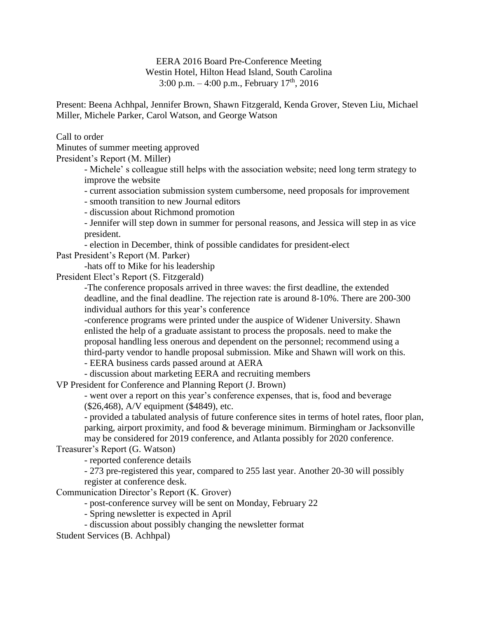EERA 2016 Board Pre-Conference Meeting Westin Hotel, Hilton Head Island, South Carolina 3:00 p.m.  $-4:00$  p.m., February  $17<sup>th</sup>$ , 2016

Present: Beena Achhpal, Jennifer Brown, Shawn Fitzgerald, Kenda Grover, Steven Liu, Michael Miller, Michele Parker, Carol Watson, and George Watson

Call to order

Minutes of summer meeting approved

President's Report (M. Miller)

- Michele' s colleague still helps with the association website; need long term strategy to improve the website

- current association submission system cumbersome, need proposals for improvement

- smooth transition to new Journal editors

- discussion about Richmond promotion

- Jennifer will step down in summer for personal reasons, and Jessica will step in as vice president.

- election in December, think of possible candidates for president-elect

Past President's Report (M. Parker)

-hats off to Mike for his leadership

President Elect's Report (S. Fitzgerald)

-The conference proposals arrived in three waves: the first deadline, the extended deadline, and the final deadline. The rejection rate is around 8-10%. There are 200-300 individual authors for this year's conference

-conference programs were printed under the auspice of Widener University. Shawn enlisted the help of a graduate assistant to process the proposals. need to make the proposal handling less onerous and dependent on the personnel; recommend using a third-party vendor to handle proposal submission. Mike and Shawn will work on this.

- EERA business cards passed around at AERA

- discussion about marketing EERA and recruiting members

VP President for Conference and Planning Report (J. Brown)

- went over a report on this year's conference expenses, that is, food and beverage (\$26,468), A/V equipment (\$4849), etc.

- provided a tabulated analysis of future conference sites in terms of hotel rates, floor plan, parking, airport proximity, and food & beverage minimum. Birmingham or Jacksonville may be considered for 2019 conference, and Atlanta possibly for 2020 conference.

Treasurer's Report (G. Watson)

- reported conference details

- 273 pre-registered this year, compared to 255 last year. Another 20-30 will possibly register at conference desk.

Communication Director's Report (K. Grover)

- post-conference survey will be sent on Monday, February 22

- Spring newsletter is expected in April

- discussion about possibly changing the newsletter format

Student Services (B. Achhpal)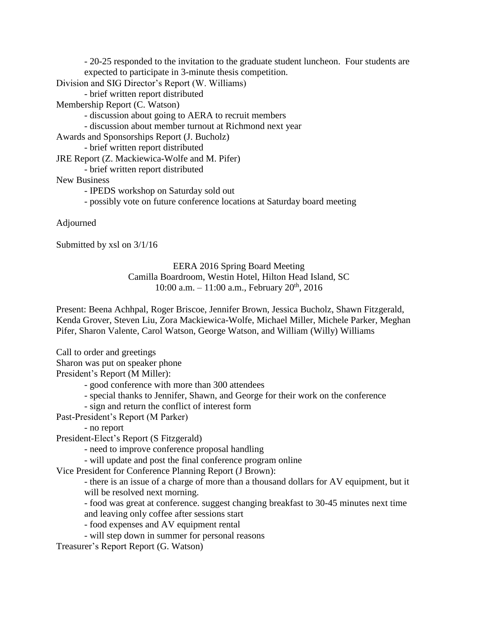- 20-25 responded to the invitation to the graduate student luncheon. Four students are expected to participate in 3-minute thesis competition.

Division and SIG Director's Report (W. Williams)

- brief written report distributed

Membership Report (C. Watson)

- discussion about going to AERA to recruit members
- discussion about member turnout at Richmond next year
- Awards and Sponsorships Report (J. Bucholz)
	- brief written report distributed
- JRE Report (Z. Mackiewica-Wolfe and M. Pifer)
	- brief written report distributed

New Business

- IPEDS workshop on Saturday sold out
- possibly vote on future conference locations at Saturday board meeting

Adjourned

Submitted by xsl on 3/1/16

## EERA 2016 Spring Board Meeting Camilla Boardroom, Westin Hotel, Hilton Head Island, SC 10:00 a.m.  $- 11:00$  a.m., February  $20<sup>th</sup>$ , 2016

Present: Beena Achhpal, Roger Briscoe, Jennifer Brown, Jessica Bucholz, Shawn Fitzgerald, Kenda Grover, Steven Liu, Zora Mackiewica-Wolfe, Michael Miller, Michele Parker, Meghan Pifer, Sharon Valente, Carol Watson, George Watson, and William (Willy) Williams

Call to order and greetings Sharon was put on speaker phone

President's Report (M Miller):

- good conference with more than 300 attendees

- special thanks to Jennifer, Shawn, and George for their work on the conference

- sign and return the conflict of interest form

- Past-President's Report (M Parker)
	- no report

President-Elect's Report (S Fitzgerald)

- need to improve conference proposal handling
- will update and post the final conference program online

Vice President for Conference Planning Report (J Brown):

- there is an issue of a charge of more than a thousand dollars for AV equipment, but it will be resolved next morning.

- food was great at conference. suggest changing breakfast to 30-45 minutes next time and leaving only coffee after sessions start

- food expenses and AV equipment rental
- will step down in summer for personal reasons
- Treasurer's Report Report (G. Watson)